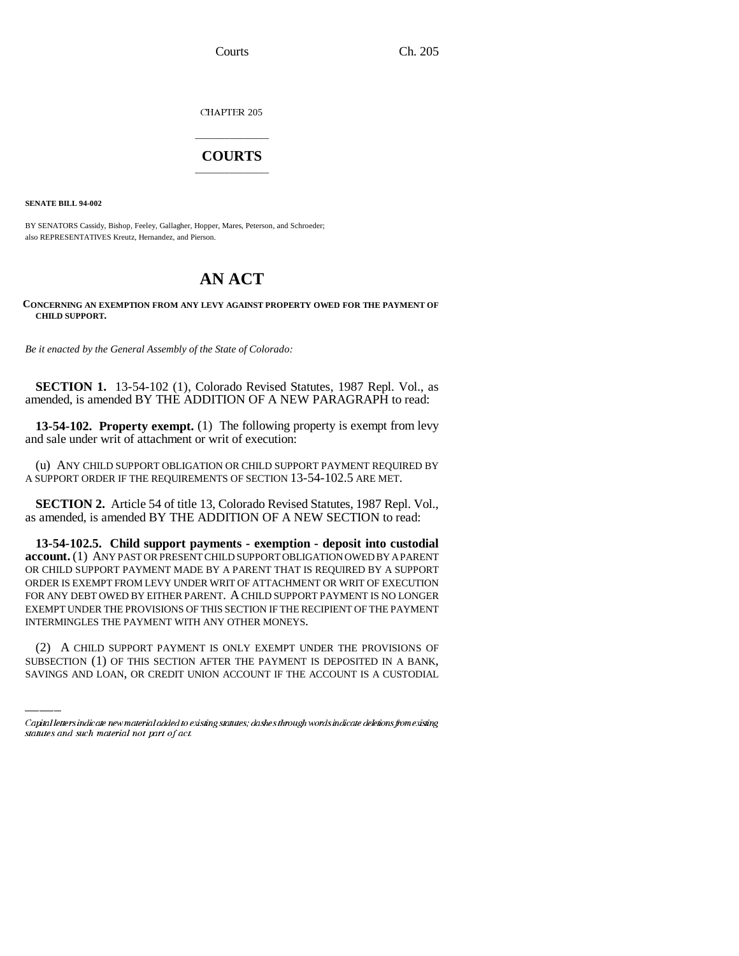CHAPTER 205

## \_\_\_\_\_\_\_\_\_\_\_\_\_\_\_ **COURTS** \_\_\_\_\_\_\_\_\_\_\_\_\_\_\_

**SENATE BILL 94-002**

BY SENATORS Cassidy, Bishop, Feeley, Gallagher, Hopper, Mares, Peterson, and Schroeder; also REPRESENTATIVES Kreutz, Hernandez, and Pierson.

## **AN ACT**

## **CONCERNING AN EXEMPTION FROM ANY LEVY AGAINST PROPERTY OWED FOR THE PAYMENT OF CHILD SUPPORT.**

*Be it enacted by the General Assembly of the State of Colorado:*

**SECTION 1.** 13-54-102 (1), Colorado Revised Statutes, 1987 Repl. Vol., as amended, is amended BY THE ADDITION OF A NEW PARAGRAPH to read:

**13-54-102. Property exempt.** (1) The following property is exempt from levy and sale under writ of attachment or writ of execution:

(u) ANY CHILD SUPPORT OBLIGATION OR CHILD SUPPORT PAYMENT REQUIRED BY A SUPPORT ORDER IF THE REQUIREMENTS OF SECTION 13-54-102.5 ARE MET.

**SECTION 2.** Article 54 of title 13, Colorado Revised Statutes, 1987 Repl. Vol., as amended, is amended BY THE ADDITION OF A NEW SECTION to read:

INTERMINGLES THE PAYMENT WITH ANY OTHER MONEYS. **13-54-102.5. Child support payments - exemption - deposit into custodial account.** (1) ANY PAST OR PRESENT CHILD SUPPORT OBLIGATION OWED BY A PARENT OR CHILD SUPPORT PAYMENT MADE BY A PARENT THAT IS REQUIRED BY A SUPPORT ORDER IS EXEMPT FROM LEVY UNDER WRIT OF ATTACHMENT OR WRIT OF EXECUTION FOR ANY DEBT OWED BY EITHER PARENT. A CHILD SUPPORT PAYMENT IS NO LONGER EXEMPT UNDER THE PROVISIONS OF THIS SECTION IF THE RECIPIENT OF THE PAYMENT

(2) A CHILD SUPPORT PAYMENT IS ONLY EXEMPT UNDER THE PROVISIONS OF SUBSECTION (1) OF THIS SECTION AFTER THE PAYMENT IS DEPOSITED IN A BANK, SAVINGS AND LOAN, OR CREDIT UNION ACCOUNT IF THE ACCOUNT IS A CUSTODIAL

Capital letters indicate new material added to existing statutes; dashes through words indicate deletions from existing statutes and such material not part of act.